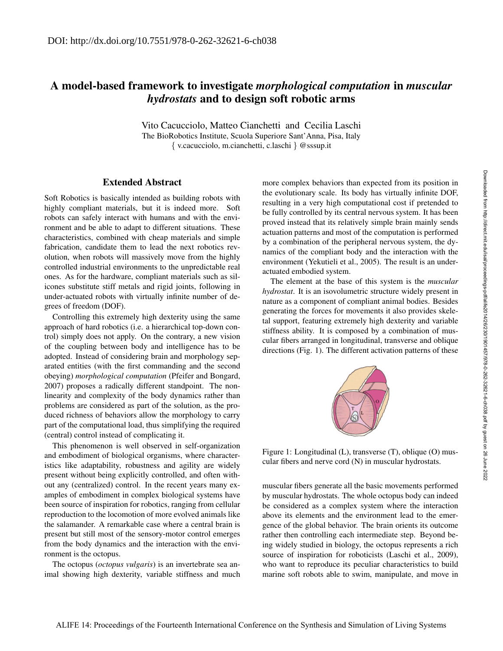## A model-based framework to investigate *morphological computation* in *muscular hydrostats* and to design soft robotic arms

Vito Cacucciolo, Matteo Cianchetti and Cecilia Laschi The BioRobotics Institute, Scuola Superiore Sant'Anna, Pisa, Italy { v.cacucciolo, m.cianchetti, c.laschi } @sssup.it

## Extended Abstract

Soft Robotics is basically intended as building robots with highly compliant materials, but it is indeed more. Soft robots can safely interact with humans and with the environment and be able to adapt to different situations. These characteristics, combined with cheap materials and simple fabrication, candidate them to lead the next robotics revolution, when robots will massively move from the highly controlled industrial environments to the unpredictable real ones. As for the hardware, compliant materials such as silicones substitute stiff metals and rigid joints, following in under-actuated robots with virtually infinite number of degrees of freedom (DOF).

Controlling this extremely high dexterity using the same approach of hard robotics (i.e. a hierarchical top-down control) simply does not apply. On the contrary, a new vision of the coupling between body and intelligence has to be adopted. Instead of considering brain and morphology separated entities (with the first commanding and the second obeying) *morphological computation* (Pfeifer and Bongard, 2007) proposes a radically different standpoint. The nonlinearity and complexity of the body dynamics rather than problems are considered as part of the solution, as the produced richness of behaviors allow the morphology to carry part of the computational load, thus simplifying the required (central) control instead of complicating it.

This phenomenon is well observed in self-organization and embodiment of biological organisms, where characteristics like adaptability, robustness and agility are widely present without being explicitly controlled, and often without any (centralized) control. In the recent years many examples of embodiment in complex biological systems have been source of inspiration for robotics, ranging from cellular reproduction to the locomotion of more evolved animals like the salamander. A remarkable case where a central brain is present but still most of the sensory-motor control emerges from the body dynamics and the interaction with the environment is the octopus.

The octopus (*octopus vulgaris*) is an invertebrate sea animal showing high dexterity, variable stiffness and much more complex behaviors than expected from its position in the evolutionary scale. Its body has virtually infinite DOF, resulting in a very high computational cost if pretended to be fully controlled by its central nervous system. It has been proved instead that its relatively simple brain mainly sends actuation patterns and most of the computation is performed by a combination of the peripheral nervous system, the dynamics of the compliant body and the interaction with the environment (Yekutieli et al., 2005). The result is an underactuated embodied system.

The element at the base of this system is the *muscular hydrostat*. It is an isovolumetric structure widely present in nature as a component of compliant animal bodies. Besides generating the forces for movements it also provides skeletal support, featuring extremely high dexterity and variable stiffness ability. It is composed by a combination of muscular fibers arranged in longitudinal, transverse and oblique directions (Fig. 1). The different activation patterns of these



Figure 1: Longitudinal (L), transverse (T), oblique (O) muscular fibers and nerve cord (N) in muscular hydrostats.

muscular fibers generate all the basic movements performed by muscular hydrostats. The whole octopus body can indeed be considered as a complex system where the interaction above its elements and the environment lead to the emergence of the global behavior. The brain orients its outcome rather then controlling each intermediate step. Beyond being widely studied in biology, the octopus represents a rich source of inspiration for roboticists (Laschi et al., 2009), who want to reproduce its peculiar characteristics to build marine soft robots able to swim, manipulate, and move in